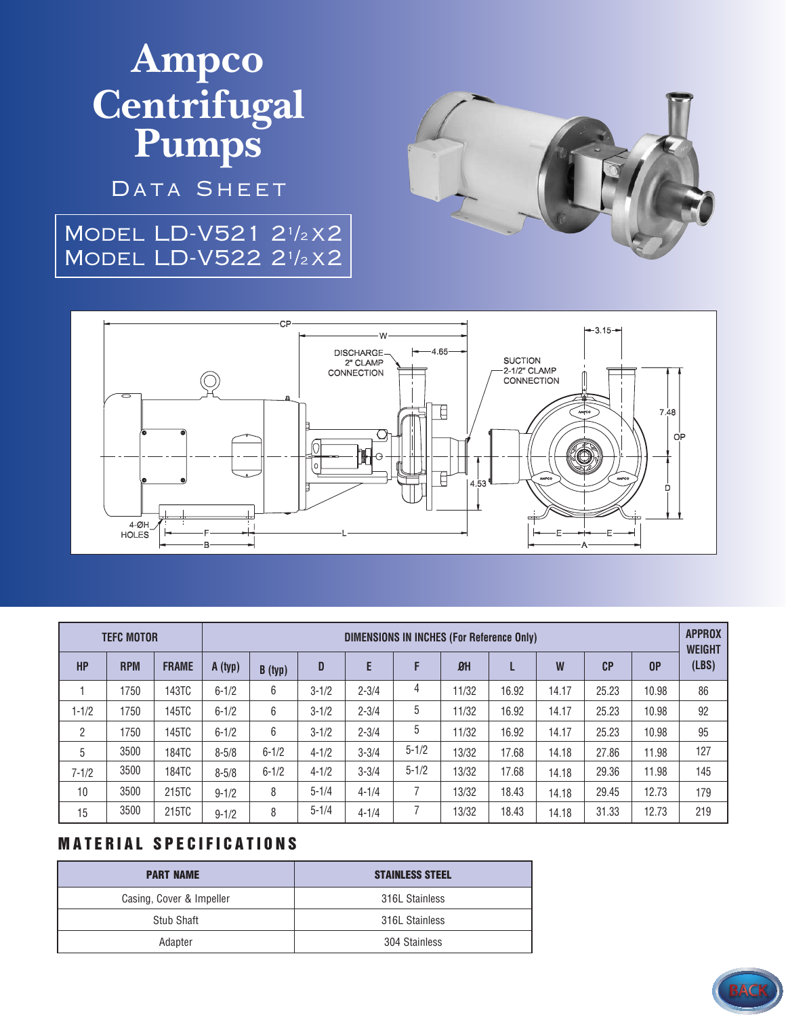# **Ampco Centrifugal Pumps**

DATA SHEET

### Model LD-V521 2<sup>1</sup> /<sup>2</sup> x2 Model LD-V522 2<sup>1</sup> /<sup>2</sup> x2





| <b>TEFC MOTOR</b> |            |              | <b>DIMENSIONS IN INCHES (For Reference Only)</b> |           |           |           |           |                |       |       |       |                | <b>APPROX</b><br><b>WEIGHT</b> |
|-------------------|------------|--------------|--------------------------------------------------|-----------|-----------|-----------|-----------|----------------|-------|-------|-------|----------------|--------------------------------|
| <b>HP</b>         | <b>RPM</b> | <b>FRAME</b> | A (typ)                                          | B (typ)   | D         | E         | F         | B <sup>H</sup> |       | W     | CP    | 0 <sup>P</sup> | (LBS)                          |
|                   | 1750       | 143TC        | $6 - 1/2$                                        | 6         | $3 - 1/2$ | $2 - 3/4$ | 4         | 11/32          | 16.92 | 14.17 | 25.23 | 10.98          | 86                             |
| $1 - 1/2$         | 1750       | 145TC        | $6 - 1/2$                                        | 6         | $3 - 1/2$ | $2 - 3/4$ | 5         | 11/32          | 16.92 | 14.17 | 25.23 | 10.98          | 92                             |
| 2                 | 1750       | 145TC        | $6 - 1/2$                                        | 6         | $3 - 1/2$ | $2 - 3/4$ | 5         | 11/32          | 16.92 | 14.17 | 25.23 | 10.98          | 95                             |
| 5                 | 3500       | 184TC        | $8 - 5/8$                                        | $6 - 1/2$ | $4 - 1/2$ | $3 - 3/4$ | $5 - 1/2$ | 13/32          | 17.68 | 14.18 | 27.86 | 11.98          | 127                            |
| $7 - 1/2$         | 3500       | 184TC        | $8 - 5/8$                                        | $6 - 1/2$ | $4 - 1/2$ | $3 - 3/4$ | $5 - 1/2$ | 13/32          | 17.68 | 14.18 | 29.36 | 11.98          | 145                            |
| 10                | 3500       | 215TC        | $9 - 1/2$                                        | 8         | $5 - 1/4$ | $4 - 1/4$ |           | 13/32          | 18.43 | 14.18 | 29.45 | 12.73          | 179                            |
| 15                | 3500       | 215TC        | $9 - 1/2$                                        | 8         | $5 - 1/4$ | $4 - 1/4$ |           | 13/32          | 18.43 | 14.18 | 31.33 | 12.73          | 219                            |

#### **MATERIAL SPECIFICATIONS**

| <b>PART NAME</b>         | <b>STAINLESS STEEL</b> |  |  |  |
|--------------------------|------------------------|--|--|--|
| Casing, Cover & Impeller | 316L Stainless         |  |  |  |
| Stub Shaft               | 316L Stainless         |  |  |  |
| Adapter                  | 304 Stainless          |  |  |  |